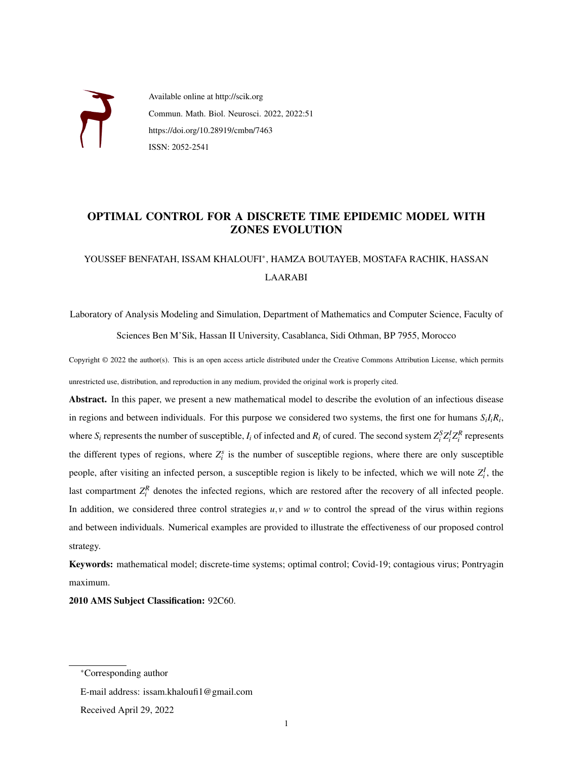

Available online at http://scik.org Commun. Math. Biol. Neurosci. 2022, 2022:51 https://doi.org/10.28919/cmbn/7463 ISSN: 2052-2541

## OPTIMAL CONTROL FOR A DISCRETE TIME EPIDEMIC MODEL WITH ZONES EVOLUTION

# YOUSSEF BENFATAH, ISSAM KHALOUFI<sup>∗</sup> , HAMZA BOUTAYEB, MOSTAFA RACHIK, HASSAN LAARABI

Laboratory of Analysis Modeling and Simulation, Department of Mathematics and Computer Science, Faculty of Sciences Ben M'Sik, Hassan II University, Casablanca, Sidi Othman, BP 7955, Morocco

Copyright © 2022 the author(s). This is an open access article distributed under the Creative Commons Attribution License, which permits unrestricted use, distribution, and reproduction in any medium, provided the original work is properly cited.

Abstract. In this paper, we present a new mathematical model to describe the evolution of an infectious disease in regions and between individuals. For this purpose we considered two systems, the first one for humans *SiIiR<sup>i</sup>* , where  $S_i$  represents the number of susceptible,  $I_i$  of infected and  $R_i$  of cured. The second system  $Z_i^S Z_i^I Z_i^R$  represents the different types of regions, where  $Z_i^s$  is the number of susceptible regions, where there are only susceptible people, after visiting an infected person, a susceptible region is likely to be infected, which we will note  $Z_i^I$ , the last compartment  $Z_i^R$  denotes the infected regions, which are restored after the recovery of all infected people. In addition, we considered three control strategies  $u, v$  and  $w$  to control the spread of the virus within regions and between individuals. Numerical examples are provided to illustrate the effectiveness of our proposed control strategy.

Keywords: mathematical model; discrete-time systems; optimal control; Covid-19; contagious virus; Pontryagin maximum.

2010 AMS Subject Classification: 92C60.

E-mail address: issam.khaloufi1@gmail.com Received April 29, 2022

<sup>∗</sup>Corresponding author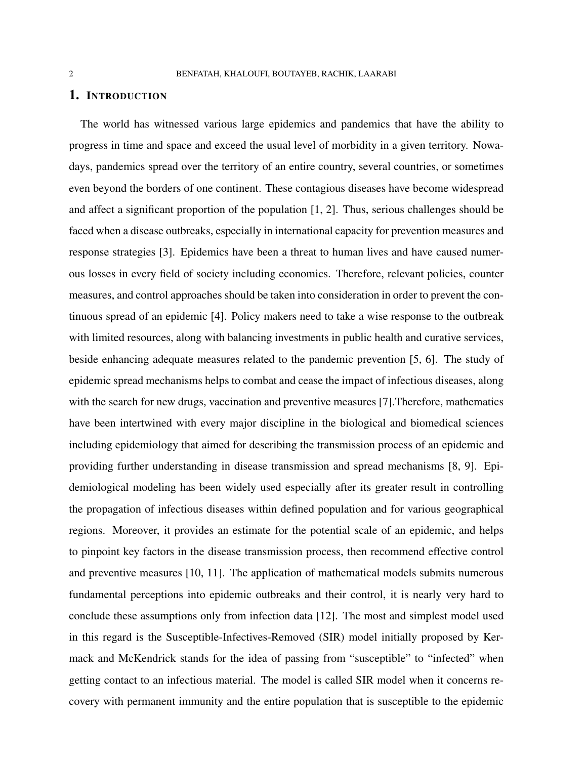#### 1. INTRODUCTION

The world has witnessed various large epidemics and pandemics that have the ability to progress in time and space and exceed the usual level of morbidity in a given territory. Nowadays, pandemics spread over the territory of an entire country, several countries, or sometimes even beyond the borders of one continent. These contagious diseases have become widespread and affect a significant proportion of the population [\[1,](#page-17-0) [2\]](#page-17-1). Thus, serious challenges should be faced when a disease outbreaks, especially in international capacity for prevention measures and response strategies [\[3\]](#page-17-2). Epidemics have been a threat to human lives and have caused numerous losses in every field of society including economics. Therefore, relevant policies, counter measures, and control approaches should be taken into consideration in order to prevent the continuous spread of an epidemic [\[4\]](#page-17-3). Policy makers need to take a wise response to the outbreak with limited resources, along with balancing investments in public health and curative services, beside enhancing adequate measures related to the pandemic prevention [\[5,](#page-17-4) [6\]](#page-17-5). The study of epidemic spread mechanisms helps to combat and cease the impact of infectious diseases, along with the search for new drugs, vaccination and preventive measures [\[7\]](#page-17-6). Therefore, mathematics have been intertwined with every major discipline in the biological and biomedical sciences including epidemiology that aimed for describing the transmission process of an epidemic and providing further understanding in disease transmission and spread mechanisms [\[8,](#page-17-7) [9\]](#page-17-8). Epidemiological modeling has been widely used especially after its greater result in controlling the propagation of infectious diseases within defined population and for various geographical regions. Moreover, it provides an estimate for the potential scale of an epidemic, and helps to pinpoint key factors in the disease transmission process, then recommend effective control and preventive measures [\[10,](#page-17-9) [11\]](#page-17-10). The application of mathematical models submits numerous fundamental perceptions into epidemic outbreaks and their control, it is nearly very hard to conclude these assumptions only from infection data [\[12\]](#page-17-11). The most and simplest model used in this regard is the Susceptible-Infectives-Removed (SIR) model initially proposed by Kermack and McKendrick stands for the idea of passing from "susceptible" to "infected" when getting contact to an infectious material. The model is called SIR model when it concerns recovery with permanent immunity and the entire population that is susceptible to the epidemic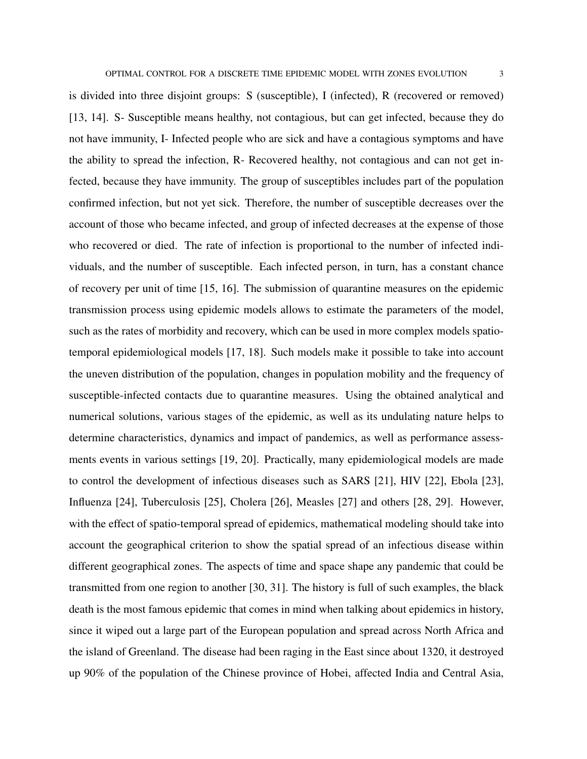is divided into three disjoint groups: S (susceptible), I (infected), R (recovered or removed) [\[13,](#page-17-12) [14\]](#page-17-13). S- Susceptible means healthy, not contagious, but can get infected, because they do not have immunity, I- Infected people who are sick and have a contagious symptoms and have the ability to spread the infection, R- Recovered healthy, not contagious and can not get infected, because they have immunity. The group of susceptibles includes part of the population confirmed infection, but not yet sick. Therefore, the number of susceptible decreases over the account of those who became infected, and group of infected decreases at the expense of those who recovered or died. The rate of infection is proportional to the number of infected individuals, and the number of susceptible. Each infected person, in turn, has a constant chance of recovery per unit of time [\[15,](#page-17-14) [16\]](#page-17-15). The submission of quarantine measures on the epidemic transmission process using epidemic models allows to estimate the parameters of the model, such as the rates of morbidity and recovery, which can be used in more complex models spatiotemporal epidemiological models [\[17,](#page-18-0) [18\]](#page-18-1). Such models make it possible to take into account the uneven distribution of the population, changes in population mobility and the frequency of susceptible-infected contacts due to quarantine measures. Using the obtained analytical and numerical solutions, various stages of the epidemic, as well as its undulating nature helps to determine characteristics, dynamics and impact of pandemics, as well as performance assessments events in various settings [\[19,](#page-18-2) [20\]](#page-18-3). Practically, many epidemiological models are made to control the development of infectious diseases such as SARS [\[21\]](#page-18-4), HIV [\[22\]](#page-18-5), Ebola [\[23\]](#page-18-6), Influenza [\[24\]](#page-18-7), Tuberculosis [\[25\]](#page-18-8), Cholera [\[26\]](#page-18-9), Measles [\[27\]](#page-18-10) and others [\[28,](#page-18-11) [29\]](#page-18-12). However, with the effect of spatio-temporal spread of epidemics, mathematical modeling should take into account the geographical criterion to show the spatial spread of an infectious disease within different geographical zones. The aspects of time and space shape any pandemic that could be transmitted from one region to another [\[30,](#page-18-13) [31\]](#page-18-14). The history is full of such examples, the black death is the most famous epidemic that comes in mind when talking about epidemics in history, since it wiped out a large part of the European population and spread across North Africa and the island of Greenland. The disease had been raging in the East since about 1320, it destroyed up 90% of the population of the Chinese province of Hobei, affected India and Central Asia,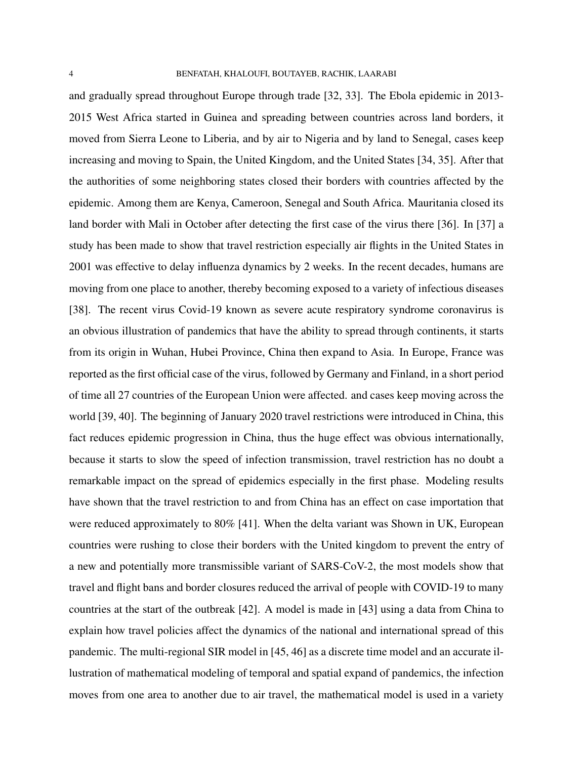and gradually spread throughout Europe through trade [\[32,](#page-19-0) [33\]](#page-19-1). The Ebola epidemic in 2013- 2015 West Africa started in Guinea and spreading between countries across land borders, it moved from Sierra Leone to Liberia, and by air to Nigeria and by land to Senegal, cases keep increasing and moving to Spain, the United Kingdom, and the United States [\[34,](#page-19-2) [35\]](#page-19-3). After that the authorities of some neighboring states closed their borders with countries affected by the epidemic. Among them are Kenya, Cameroon, Senegal and South Africa. Mauritania closed its land border with Mali in October after detecting the first case of the virus there [\[36\]](#page-19-4). In [\[37\]](#page-19-5) a study has been made to show that travel restriction especially air flights in the United States in 2001 was effective to delay influenza dynamics by 2 weeks. In the recent decades, humans are moving from one place to another, thereby becoming exposed to a variety of infectious diseases [\[38\]](#page-19-6). The recent virus Covid-19 known as severe acute respiratory syndrome coronavirus is an obvious illustration of pandemics that have the ability to spread through continents, it starts from its origin in Wuhan, Hubei Province, China then expand to Asia. In Europe, France was reported as the first official case of the virus, followed by Germany and Finland, in a short period of time all 27 countries of the European Union were affected. and cases keep moving across the world [\[39,](#page-19-7) [40\]](#page-19-8). The beginning of January 2020 travel restrictions were introduced in China, this fact reduces epidemic progression in China, thus the huge effect was obvious internationally, because it starts to slow the speed of infection transmission, travel restriction has no doubt a remarkable impact on the spread of epidemics especially in the first phase. Modeling results have shown that the travel restriction to and from China has an effect on case importation that were reduced approximately to 80% [\[41\]](#page-19-9). When the delta variant was Shown in UK, European countries were rushing to close their borders with the United kingdom to prevent the entry of a new and potentially more transmissible variant of SARS-CoV-2, the most models show that travel and flight bans and border closures reduced the arrival of people with COVID-19 to many countries at the start of the outbreak [\[42\]](#page-19-10). A model is made in [\[43\]](#page-19-11) using a data from China to explain how travel policies affect the dynamics of the national and international spread of this pandemic. The multi-regional SIR model in [\[45,](#page-19-12) [46\]](#page-20-0) as a discrete time model and an accurate illustration of mathematical modeling of temporal and spatial expand of pandemics, the infection moves from one area to another due to air travel, the mathematical model is used in a variety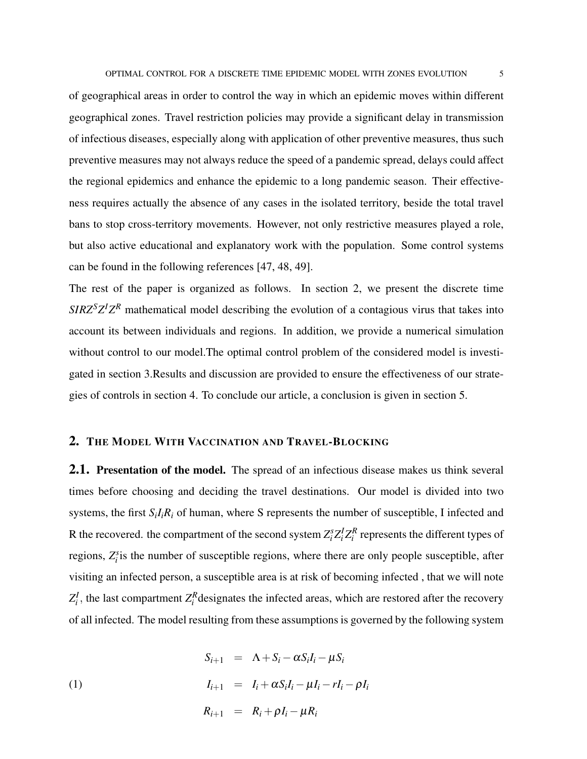of geographical areas in order to control the way in which an epidemic moves within different geographical zones. Travel restriction policies may provide a significant delay in transmission of infectious diseases, especially along with application of other preventive measures, thus such preventive measures may not always reduce the speed of a pandemic spread, delays could affect the regional epidemics and enhance the epidemic to a long pandemic season. Their effectiveness requires actually the absence of any cases in the isolated territory, beside the total travel bans to stop cross-territory movements. However, not only restrictive measures played a role, but also active educational and explanatory work with the population. Some control systems can be found in the following references [\[47,](#page-20-1) [48,](#page-20-2) [49\]](#page-20-3).

The rest of the paper is organized as follows. In section 2, we present the discrete time  $SIRZ<sup>S</sup>Z<sup>I</sup>Z<sup>R</sup>$  mathematical model describing the evolution of a contagious virus that takes into account its between individuals and regions. In addition, we provide a numerical simulation without control to our model.The optimal control problem of the considered model is investigated in section 3.Results and discussion are provided to ensure the effectiveness of our strategies of controls in section 4. To conclude our article, a conclusion is given in section 5.

### 2. THE MODEL WITH VACCINATION AND TRAVEL-BLOCKING

2.1. Presentation of the model. The spread of an infectious disease makes us think several times before choosing and deciding the travel destinations. Our model is divided into two systems, the first  $S_iI_iR_i$  of human, where S represents the number of susceptible, I infected and R the recovered. the compartment of the second system  $Z_i^s Z_i^I Z_i^R$  represents the different types of regions,  $Z_i^s$  is the number of susceptible regions, where there are only people susceptible, after visiting an infected person, a susceptible area is at risk of becoming infected , that we will note  $Z_i^I$ , the last compartment  $Z_i^R$  designates the infected areas, which are restored after the recovery of all infected. The model resulting from these assumptions is governed by the following system

<span id="page-4-0"></span>(1)  
\n
$$
S_{i+1} = \Lambda + S_i - \alpha S_i I_i - \mu S_i
$$
\n
$$
I_{i+1} = I_i + \alpha S_i I_i - \mu I_i - r I_i - \rho I_i
$$
\n
$$
R_{i+1} = R_i + \rho I_i - \mu R_i
$$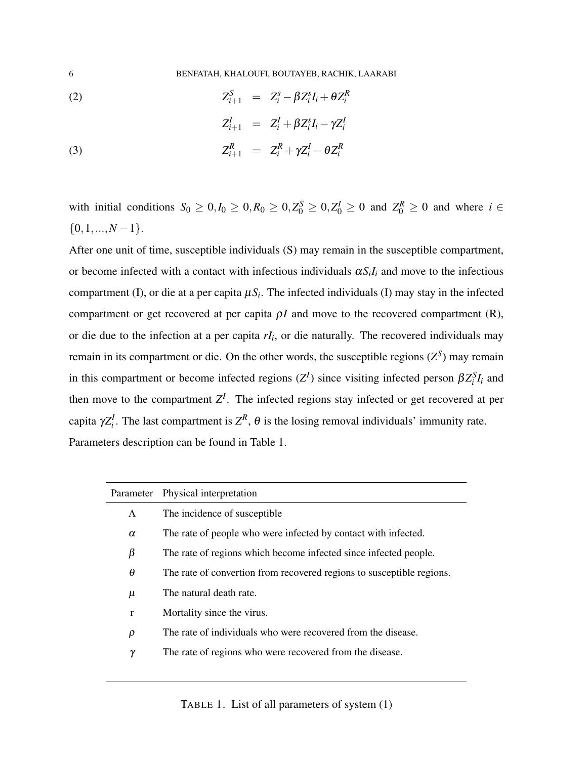6 BENFATAH, KHALOUFI, BOUTAYEB, RACHIK, LAARABI

$$
(2) \tZ_{i+1}^S = Z_i^S - \beta Z_i^s I_i + \theta Z_i^R
$$

(3)  

$$
Z_{i+1}^I = Z_i^I + \beta Z_i^s I_i - \gamma Z_i^I
$$

$$
Z_{i+1}^R = Z_i^R + \gamma Z_i^I - \theta Z_i^R
$$

with initial conditions  $S_0 \ge 0, I_0 \ge 0, R_0 \ge 0, Z_0^S \ge 0, Z_0^I \ge 0$  and  $Z_0^R \ge 0$  and where  $i \in$  ${0,1,...,N-1}.$ 

After one unit of time, susceptible individuals (S) may remain in the susceptible compartment, or become infected with a contact with infectious individuals  $\alpha S_i I_i$  and move to the infectious compartment (I), or die at a per capita  $\mu S_i$ . The infected individuals (I) may stay in the infected compartment or get recovered at per capita  $\rho I$  and move to the recovered compartment (R), or die due to the infection at a per capita *rI<sup>i</sup>* , or die naturally. The recovered individuals may remain in its compartment or die. On the other words, the susceptible regions  $(Z^S)$  may remain in this compartment or become infected regions  $(Z^I)$  since visiting infected person  $\beta Z_i^S I_i$  and then move to the compartment  $Z^I$ . The infected regions stay infected or get recovered at per capita  $\gamma Z_i^I$ . The last compartment is  $Z^R$ ,  $\theta$  is the losing removal individuals' immunity rate. Parameters description can be found in Table [1.](#page-5-0)

<span id="page-5-0"></span>

|              | Parameter Physical interpretation                                     |
|--------------|-----------------------------------------------------------------------|
| $\Lambda$    | The incidence of susceptible                                          |
| $\alpha$     | The rate of people who were infected by contact with infected.        |
| β            | The rate of regions which become infected since infected people.      |
| θ            | The rate of convertion from recovered regions to susceptible regions. |
| μ            | The natural death rate.                                               |
| $\mathbf{r}$ | Mortality since the virus.                                            |
| $\rho$       | The rate of individuals who were recovered from the disease.          |
| γ            | The rate of regions who were recovered from the disease.              |
|              |                                                                       |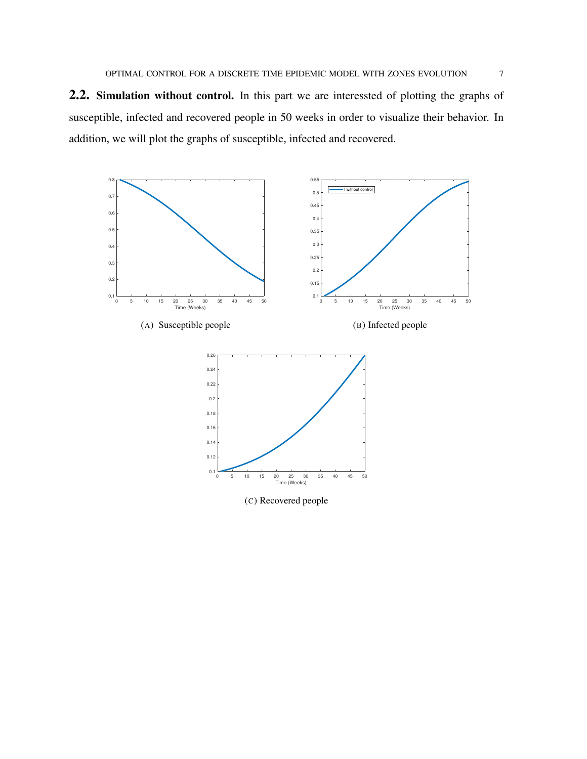2.2. Simulation without control. In this part we are interessted of plotting the graphs of susceptible, infected and recovered people in 50 weeks in order to visualize their behavior. In addition, we will plot the graphs of susceptible, infected and recovered.

<span id="page-6-2"></span><span id="page-6-1"></span><span id="page-6-0"></span>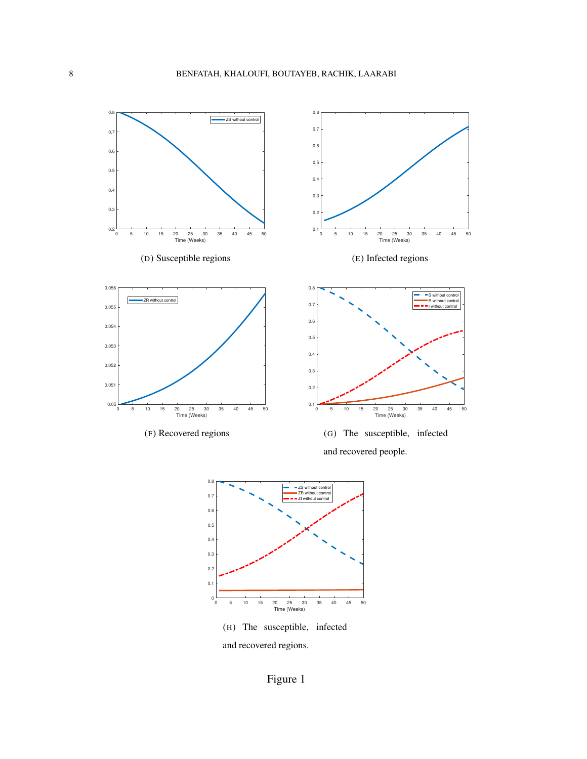<span id="page-7-1"></span><span id="page-7-0"></span>

<span id="page-7-3"></span><span id="page-7-2"></span>and recovered regions.

Figure 1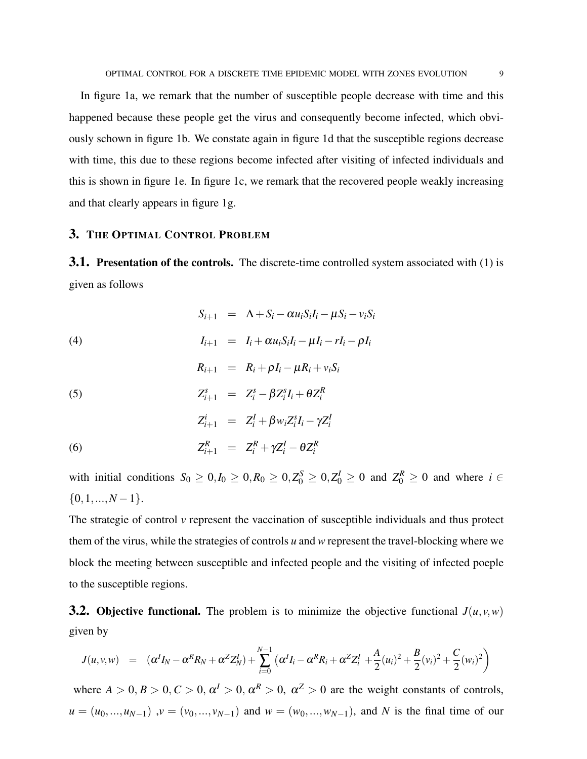In figure [1a,](#page-6-0) we remark that the number of susceptible people decrease with time and this happened because these people get the virus and consequently become infected, which obviously schown in figure [1b.](#page-6-1) We constate again in figure [1d](#page-7-0) that the susceptible regions decrease with time, this due to these regions become infected after visiting of infected individuals and this is shown in figure [1e.](#page-7-1) In figure [1c,](#page-6-2) we remark that the recovered people weakly increasing and that clearly appears in figure [1g.](#page-7-2)

### 3. THE OPTIMAL CONTROL PROBLEM

**3.1. Presentation of the controls.** The discrete-time controlled system associated with [\(1\)](#page-4-0) is given as follows

(4)  
\n
$$
S_{i+1} = \Lambda + S_i - \alpha u_i S_i I_i - \mu S_i - v_i S_i
$$
\n
$$
I_{i+1} = I_i + \alpha u_i S_i I_i - \mu I_i - r I_i - \rho I_i
$$
\n
$$
R_{i+1} = R_i + \rho I_i - \mu R_i + v_i S_i
$$
\n(5)  
\n
$$
Z_{i+1}^s = Z_i^s - \beta Z_i^s I_i + \theta Z_i^R
$$
\n
$$
Z_{i+1}^i = Z_i^I + \beta w_i Z_i^s I_i - \gamma Z_i^I
$$
\n(6)  
\n
$$
Z_{i+1}^R = Z_i^R + \gamma Z_i^I - \theta Z_i^R
$$

with initial conditions  $S_0 \ge 0, I_0 \ge 0, R_0 \ge 0, Z_0^S \ge 0, Z_0^I \ge 0$  and  $Z_0^R \ge 0$  and where  $i \in$  $\{0,1,...,N-1\}.$ 

The strategie of control *v* represent the vaccination of susceptible individuals and thus protect them of the virus, while the strategies of controls *u* and *w* represent the travel-blocking where we block the meeting between susceptible and infected people and the visiting of infected poeple to the susceptible regions.

**3.2. Objective functional.** The problem is to minimize the objective functional  $J(u, v, w)$ given by

<span id="page-8-0"></span>
$$
J(u, v, w) = (\alpha^{I} I_{N} - \alpha^{R} R_{N} + \alpha^{Z} Z_{N}^{I}) + \sum_{i=0}^{N-1} (\alpha^{I} I_{i} - \alpha^{R} R_{i} + \alpha^{Z} Z_{i}^{I} + \frac{A}{2} (u_{i})^{2} + \frac{B}{2} (v_{i})^{2} + \frac{C}{2} (w_{i})^{2})
$$

where  $A > 0, B > 0, C > 0, \alpha^I > 0, \alpha^R > 0, \alpha^Z > 0$  are the weight constants of controls,  $u = (u_0, ..., u_{N-1})$ ,  $v = (v_0, ..., v_{N-1})$  and  $w = (w_0, ..., w_{N-1})$ , and *N* is the final time of our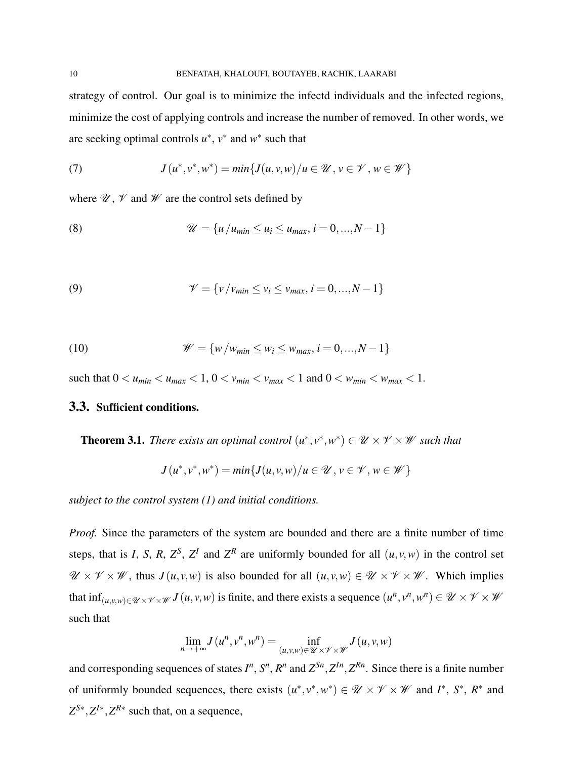strategy of control. Our goal is to minimize the infectd individuals and the infected regions, minimize the cost of applying controls and increase the number of removed. In other words, we are seeking optimal controls  $u^*$ ,  $v^*$  and  $w^*$  such that

<span id="page-9-0"></span>(7) 
$$
J(u^*, v^*, w^*) = min\{J(u, v, w)/u \in \mathcal{U}, v \in \mathcal{V}, w \in \mathcal{W}\}\
$$

where  $\mathcal{U}, \mathcal{V}$  and  $\mathcal{W}$  are the control sets defined by

<span id="page-9-1"></span>(8) 
$$
\mathscr{U} = \{u/u_{min} \le u_i \le u_{max}, i = 0, ..., N-1\}
$$

<span id="page-9-2"></span>(9) 
$$
\mathcal{V} = \{v/v_{min} \le v_i \le v_{max}, i = 0, ..., N - 1\}
$$

(10) 
$$
\mathscr{W} = \{ w / w_{min} \le w_i \le w_{max}, i = 0, ..., N - 1 \}
$$

such that  $0 < u_{min} < u_{max} < 1, 0 < v_{min} < v_{max} < 1$  and  $0 < w_{min} < w_{max} < 1$ .

### 3.3. Sufficient conditions.

**Theorem 3.1.** *There exists an optimal control*  $(u^*, v^*, w^*) \in \mathcal{U} \times \mathcal{V} \times \mathcal{W}$  such that

$$
J(u^*,v^*,w^*) = min\{J(u,v,w)/u \in \mathcal{U}, v \in \mathcal{V}, w \in \mathcal{W}\}\
$$

*subject to the control system [\(1\)](#page-4-0) and initial conditions.*

*Proof.* Since the parameters of the system are bounded and there are a finite number of time steps, that is *I*, *S*, *R*,  $Z^S$ ,  $Z^I$  and  $Z^R$  are uniformly bounded for all  $(u, v, w)$  in the control set  $\mathscr{U} \times \mathscr{V} \times \mathscr{W}$ , thus  $J(u, v, w)$  is also bounded for all  $(u, v, w) \in \mathscr{U} \times \mathscr{V} \times \mathscr{W}$ . Which implies that  $\inf_{(u,v,w)\in\mathcal{U}\times\mathcal{V}\times\mathcal{W}} J(u,v,w)$  is finite, and there exists a sequence  $(u^n,v^n,w^n)\in\mathcal{U}\times\mathcal{V}\times\mathcal{W}$ such that

$$
\lim_{n \to +\infty} J(u^n, v^n, w^n) = \inf_{(u,v,w) \in \mathcal{U} \times \mathcal{V} \times \mathcal{W}} J(u,v,w)
$$

and corresponding sequences of states  $I^n$ ,  $S^n$ ,  $R^n$  and  $Z^{Sn}$ ,  $Z^{In}$ ,  $Z^{Rn}$ . Since there is a finite number of uniformly bounded sequences, there exists  $(u^*, v^*, w^*) \in \mathcal{U} \times \mathcal{V} \times \mathcal{W}$  and  $I^*, S^*, R^*$  and  $Z^{S*}$ ,  $Z^{I*}$ ,  $Z^{R*}$  such that, on a sequence,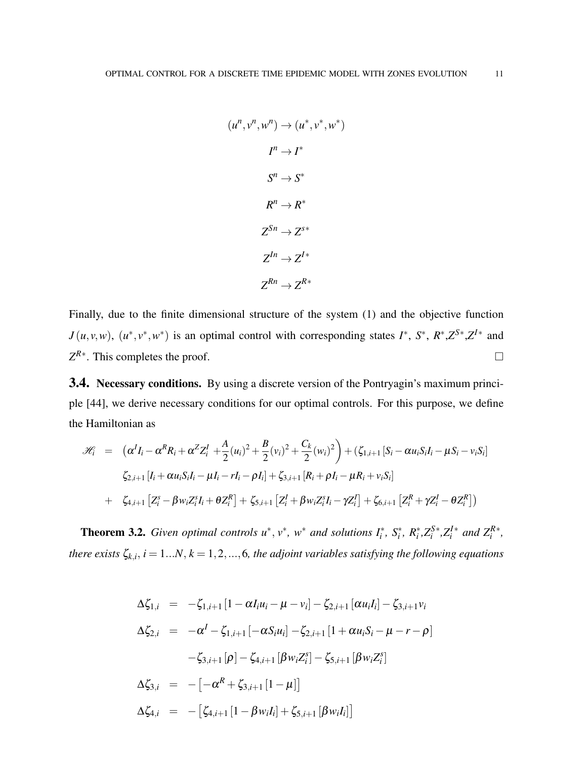$$
(u^n, v^n, w^n) \rightarrow (u^*, v^*, w^*)
$$

$$
I^n \rightarrow I^*
$$

$$
S^n \rightarrow S^*
$$

$$
R^n \rightarrow R^*
$$

$$
Z^{Sn} \rightarrow Z^{S*}
$$

$$
Z^{In} \rightarrow Z^{I*}
$$

$$
Z^{Rn} \rightarrow Z^{R*}
$$

Finally, due to the finite dimensional structure of the system [\(1\)](#page-4-0) and the objective function  $J(u, v, w)$ ,  $(u^*, v^*, w^*)$  is an optimal control with corresponding states  $I^*$ ,  $S^*$ ,  $R^*, Z^{S*}, Z^{I*}$  and  $Z^{R*}$ . This completes the proof.

3.4. Necessary conditions. By using a discrete version of the Pontryagin's maximum principle [\[44\]](#page-19-13), we derive necessary conditions for our optimal controls. For this purpose, we define the Hamiltonian as

$$
\mathcal{H}_{i} = (\alpha^{I} I_{i} - \alpha^{R} R_{i} + \alpha^{Z} Z_{i}^{I} + \frac{A}{2} (u_{i})^{2} + \frac{B}{2} (v_{i})^{2} + \frac{C_{k}}{2} (w_{i})^{2}) + (\zeta_{1,i+1} [S_{i} - \alpha u_{i} S_{i} I_{i} - \mu S_{i} - v_{i} S_{i}] \n\zeta_{2,i+1} [I_{i} + \alpha u_{i} S_{i} I_{i} - \mu I_{i} - r I_{i} - \rho I_{i}] + \zeta_{3,i+1} [R_{i} + \rho I_{i} - \mu R_{i} + v_{i} S_{i}] \n+ \zeta_{4,i+1} [Z_{i}^{s} - \beta w_{i} Z_{i}^{s} I_{i} + \theta Z_{i}^{R}] + \zeta_{5,i+1} [Z_{i}^{I} + \beta w_{i} Z_{i}^{s} I_{i} - \gamma Z_{i}^{I}] + \zeta_{6,i+1} [Z_{i}^{R} + \gamma Z_{i}^{I} - \theta Z_{i}^{R}] )
$$

**Theorem 3.2.** *Given optimal controls*  $u^*$ ,  $v^*$ ,  $w^*$  *and solutions*  $I_i^*$ ,  $S_i^*$ ,  $R_i^*$ ,  $Z_i^S$  $*$ , $Z_i^I*$  and  $Z_i^{R*}$ , *there exists*  $\zeta_{k,i}$ ,  $i = 1...N$ ,  $k = 1, 2, ..., 6$ , the adjoint variables satisfying the following equations

$$
\Delta \zeta_{1,i} = -\zeta_{1,i+1} [1 - \alpha I_i u_i - \mu - v_i] - \zeta_{2,i+1} [\alpha u_i I_i] - \zeta_{3,i+1} v_i
$$
  
\n
$$
\Delta \zeta_{2,i} = -\alpha^I - \zeta_{1,i+1} [-\alpha S_i u_i] - \zeta_{2,i+1} [1 + \alpha u_i S_i - \mu - r - \rho]
$$
  
\n
$$
-\zeta_{3,i+1} [\rho] - \zeta_{4,i+1} [\beta w_i Z_i^s] - \zeta_{5,i+1} [\beta w_i Z_i^s]
$$
  
\n
$$
\Delta \zeta_{3,i} = -[-\alpha^R + \zeta_{3,i+1} [1 - \mu]]
$$
  
\n
$$
\Delta \zeta_{4,i} = -[\zeta_{4,i+1} [1 - \beta w_i I_i] + \zeta_{5,i+1} [\beta w_i I_i]]
$$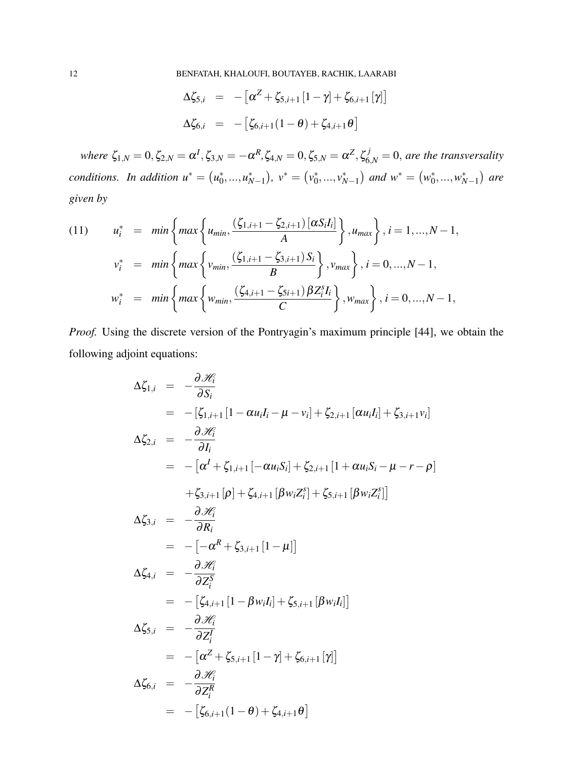$$
\Delta \zeta_{5,i} = -[\alpha^Z + \zeta_{5,i+1} [1 - \gamma] + \zeta_{6,i+1} [\gamma]]
$$
  

$$
\Delta \zeta_{6,i} = -[\zeta_{6,i+1} (1 - \theta) + \zeta_{4,i+1} \theta]
$$

 $\omega$  *where*  $\zeta_{1,N} = 0$ ,  $\zeta_{2,N} = \alpha^I$ ,  $\zeta_{3,N} = -\alpha^R$ ,  $\zeta_{4,N} = 0$ ,  $\zeta_{5,N} = \alpha^Z$ ,  $\zeta_{6,N}^j = 0$ , are the transversality *conditions.* In addition  $u^* = (u_0^*)$  $(v_0^*,...,u_{N-1}^*)$ ,  $v^* = (v_0^*)$  $(v_0^*,...,v_{N-1}^*)$  and  $w^* = (w_0^*)$ \*,...,*w*<sup>\*</sup><sub>*N*−1</sub></sub> $\big)$  are *given by*

(11) 
$$
u_i^* = \min \left\{ \max \left\{ u_{min}, \frac{(\zeta_{1,i+1} - \zeta_{2,i+1}) [\alpha S_i I_i]}{A} \right\}, u_{max} \right\}, i = 1,..., N-1,
$$

$$
v_i^* = \min \left\{ \max \left\{ v_{min}, \frac{(\zeta_{1,i+1} - \zeta_{3,i+1}) S_i}{B} \right\}, v_{max} \right\}, i = 0,..., N-1,
$$

$$
w_i^* = \min \left\{ \max \left\{ w_{min}, \frac{(\zeta_{4,i+1} - \zeta_{5i+1}) \beta Z_i^s I_i}{C} \right\}, w_{max} \right\}, i = 0,..., N-1,
$$

*Proof.* Using the discrete version of the Pontryagin's maximum principle [\[44\]](#page-19-13), we obtain the following adjoint equations:

$$
\Delta \zeta_{1,i} = -\frac{\partial \mathcal{H}_i}{\partial S_i}
$$
  
\n
$$
= -[\zeta_{1,i+1}[1 - \alpha u_i I_i - \mu - v_i] + \zeta_{2,i+1} [\alpha u_i I_i] + \zeta_{3,i+1} v_i]
$$
  
\n
$$
\Delta \zeta_{2,i} = -\frac{\partial \mathcal{H}_i}{\partial I_i}
$$
  
\n
$$
= -[\alpha^I + \zeta_{1,i+1}[-\alpha u_i S_i] + \zeta_{2,i+1}[1 + \alpha u_i S_i - \mu - r - \rho]
$$
  
\n
$$
+ \zeta_{3,i+1}[\rho] + \zeta_{4,i+1}[\beta w_i Z_i^s] + \zeta_{5,i+1}[\beta w_i Z_i^s]]
$$
  
\n
$$
\Delta \zeta_{3,i} = -\frac{\partial \mathcal{H}_i}{\partial R_i}
$$
  
\n
$$
= -[-\alpha^R + \zeta_{3,i+1}[1 - \mu]]
$$
  
\n
$$
\Delta \zeta_{4,i} = -\frac{\partial \mathcal{H}_i}{\partial Z_i^S}
$$
  
\n
$$
= -[\zeta_{4,i+1}[1 - \beta w_i I_i] + \zeta_{5,i+1}[\beta w_i I_i]]
$$
  
\n
$$
\Delta \zeta_{5,i} = -\frac{\partial \mathcal{H}_i}{\partial Z_i^I}
$$
  
\n
$$
= -[\alpha^Z + \zeta_{5,i+1}[1 - \gamma] + \zeta_{6,i+1}[\gamma]]
$$
  
\n
$$
\Delta \zeta_{6,i} = -\frac{\partial \mathcal{H}_i}{\partial Z_i^R}
$$
  
\n
$$
= -[\zeta_{6,i+1}(1 - \theta) + \zeta_{4,i+1}\theta]
$$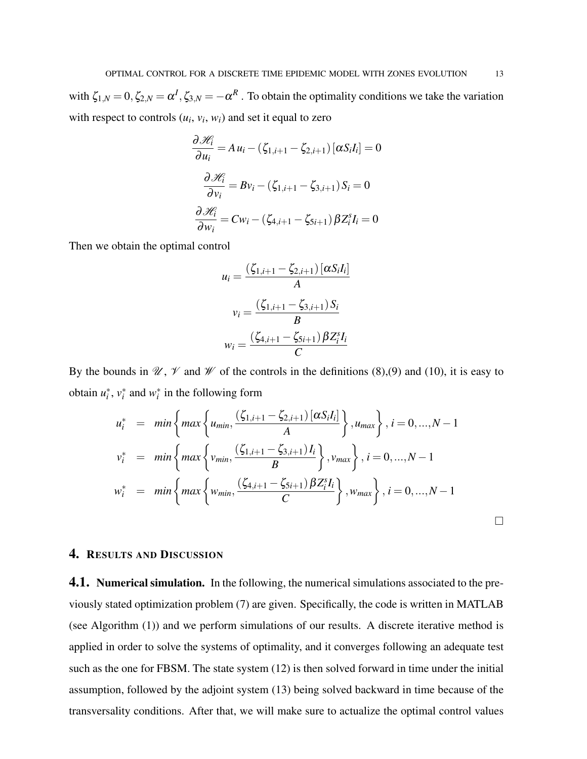with  $\zeta_{1,N} = 0, \zeta_{2,N} = \alpha^I, \zeta_{3,N} = -\alpha^R$ . To obtain the optimality conditions we take the variation with respect to controls  $(u_i, v_i, w_i)$  and set it equal to zero

$$
\frac{\partial \mathcal{H}_i}{\partial u_i} = A u_i - (\zeta_{1,i+1} - \zeta_{2,i+1}) [\alpha S_i I_i] = 0
$$

$$
\frac{\partial \mathcal{H}_i}{\partial v_i} = B v_i - (\zeta_{1,i+1} - \zeta_{3,i+1}) S_i = 0
$$

$$
\frac{\partial \mathcal{H}_i}{\partial w_i} = C w_i - (\zeta_{4,i+1} - \zeta_{5i+1}) \beta Z_i^s I_i = 0
$$

Then we obtain the optimal control

$$
u_i = \frac{(\zeta_{1,i+1} - \zeta_{2,i+1}) [\alpha S_i I_i]}{A}
$$

$$
v_i = \frac{(\zeta_{1,i+1} - \zeta_{3,i+1}) S_i}{B}
$$

$$
w_i = \frac{(\zeta_{4,i+1} - \zeta_{5i+1}) \beta Z_i^s I_i}{C}
$$

By the bounds in  $\mathcal{U}, \mathcal{V}$  and  $\mathcal{W}$  of the controls in the definitions [\(8\)](#page-9-0),[\(9\)](#page-9-1) and [\(10\)](#page-9-2), it is easy to obtain  $u_i^*$ ,  $v_i^*$  and  $w_i^*$  in the following form

$$
u_i^* = \min \left\{ \max \left\{ u_{min}, \frac{(\zeta_{1,i+1} - \zeta_{2,i+1}) [\alpha S_i I_i]}{A} \right\}, u_{max} \right\}, i = 0, ..., N - 1
$$
  

$$
v_i^* = \min \left\{ \max \left\{ v_{min}, \frac{(\zeta_{1,i+1} - \zeta_{3,i+1}) I_i}{B} \right\}, v_{max} \right\}, i = 0, ..., N - 1
$$
  

$$
w_i^* = \min \left\{ \max \left\{ w_{min}, \frac{(\zeta_{4,i+1} - \zeta_{5i+1}) \beta Z_i^s I_i}{C} \right\}, w_{max} \right\}, i = 0, ..., N - 1
$$

### 4. RESULTS AND DISCUSSION

**4.1. Numerical simulation.** In the following, the numerical simulations associated to the previously stated optimization problem [\(7\)](#page-8-0) are given. Specifically, the code is written in MATLAB (see Algorithm [\(1\)](#page-13-0)) and we perform simulations of our results. A discrete iterative method is applied in order to solve the systems of optimality, and it converges following an adequate test such as the one for FBSM. The state system [\(12\)](#page-13-1) is then solved forward in time under the initial assumption, followed by the adjoint system [\(13\)](#page-13-2) being solved backward in time because of the transversality conditions. After that, we will make sure to actualize the optimal control values

 $\Box$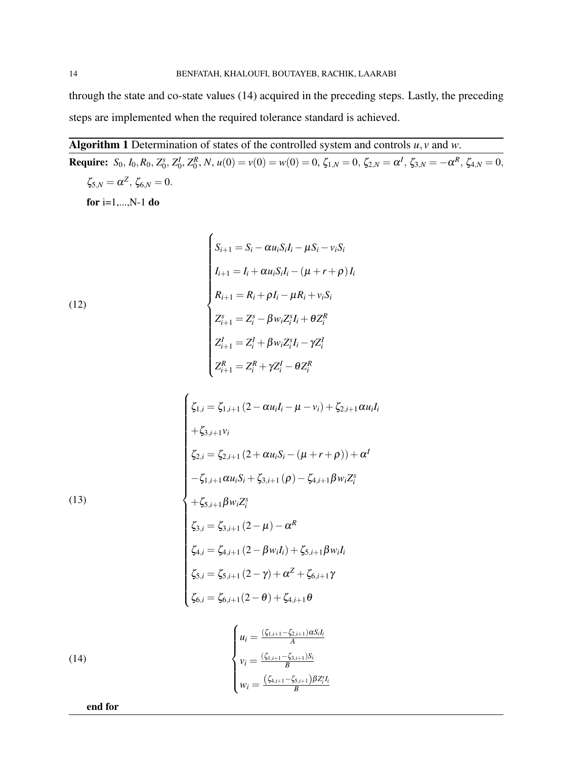through the state and co-state values [\(14\)](#page-13-3) acquired in the preceding steps. Lastly, the preceding steps are implemented when the required tolerance standard is achieved.

<span id="page-13-0"></span>Algorithm 1 Determination of states of the controlled system and controls *u*, *v* and *w*. **Require:**  $S_0$ ,  $I_0$ ,  $R_0$ ,  $Z_0^s$ ,  $Z_0^l$ ,  $Z_0^R$ ,  $N$ ,  $u(0) = v(0) = w(0) = 0$ ,  $\zeta_{1,N} = 0$ ,  $\zeta_{2,N} = \alpha^I$ ,  $\zeta_{3,N} = -\alpha^R$ ,  $\zeta_{4,N} = 0$ ,  $\zeta_{5,N} = \alpha^Z, \, \zeta_{6,N} = 0.$ 

<span id="page-13-1"></span>for  $i=1,...,N-1$  do

(12)  
\n
$$
S_{i+1} = S_i - \alpha u_i S_i I_i - \mu S_i - v_i S_i
$$
\n
$$
I_{i+1} = I_i + \alpha u_i S_i I_i - (\mu + r + \rho) I_i
$$
\n
$$
R_{i+1} = R_i + \rho I_i - \mu R_i + v_i S_i
$$
\n
$$
Z_{i+1}^s = Z_i^s - \beta w_i Z_i^s I_i + \theta Z_i^R
$$
\n
$$
Z_{i+1}^l = Z_i^l + \beta w_i Z_i^s I_i - \gamma Z_i^l
$$
\n
$$
Z_{i+1}^R = Z_i^R + \gamma Z_i^l - \theta Z_i^R
$$

 $\epsilon$ 

<span id="page-13-2"></span>(13)  
\n
$$
\begin{cases}\n\zeta_{1,i} = \zeta_{1,i+1} (2 - \alpha u_i I_i - \mu - v_i) + \zeta_{2,i+1} \alpha u_i I_i \\
+ \zeta_{3,i+1} v_i \\
\zeta_{2,i} = \zeta_{2,i+1} (2 + \alpha u_i S_i - (\mu + r + \rho)) + \alpha^I \\
-\zeta_{1,i+1} \alpha u_i S_i + \zeta_{3,i+1} (\rho) - \zeta_{4,i+1} \beta w_i Z_i^s \\
+ \zeta_{5,i+1} \beta w_i Z_i^s \\
\zeta_{3,i} = \zeta_{3,i+1} (2 - \mu) - \alpha^R \\
\zeta_{4,i} = \zeta_{4,i+1} (2 - \beta w_i I_i) + \zeta_{5,i+1} \beta w_i I_i \\
\zeta_{5,i} = \zeta_{5,i+1} (2 - \gamma) + \alpha^Z + \zeta_{6,i+1} \gamma \\
\zeta_{6,i} = \zeta_{6,i+1} (2 - \theta) + \zeta_{4,i+1} \theta\n\end{cases}
$$

<span id="page-13-3"></span>(14)  

$$
\begin{cases}\n u_i = \frac{(\zeta_{1,i+1} - \zeta_{2,i+1})\alpha S_i I_i}{A} \\
 v_i = \frac{(\zeta_{1,i+1} - \zeta_{3,i+1})S_i}{B} \\
 w_i = \frac{(\zeta_{4,i+1} - \zeta_{5,i+1})\beta Z_i^s I_i}{B}\n\end{cases}
$$

end for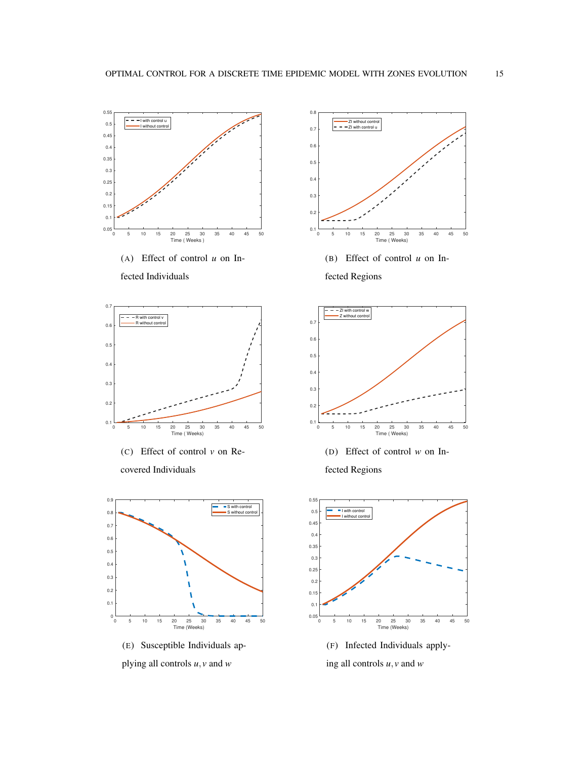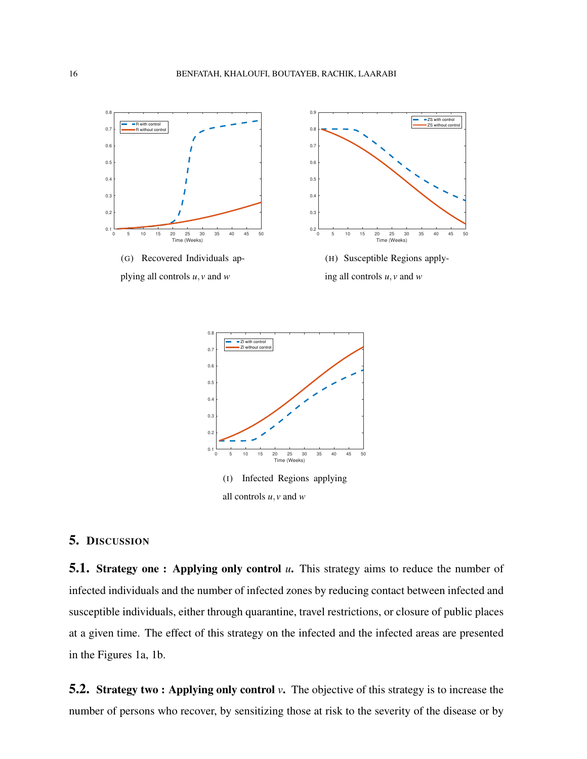

<span id="page-15-0"></span>

## 5. DISCUSSION

**5.1. Strategy one : Applying only control** *u***.** This strategy aims to reduce the number of infected individuals and the number of infected zones by reducing contact between infected and susceptible individuals, either through quarantine, travel restrictions, or closure of public places at a given time. The effect of this strategy on the infected and the infected areas are presented in the Figures [1a,](#page-6-0) [1b.](#page-6-1)

5.2. Strategy two : Applying only control *v*. The objective of this strategy is to increase the number of persons who recover, by sensitizing those at risk to the severity of the disease or by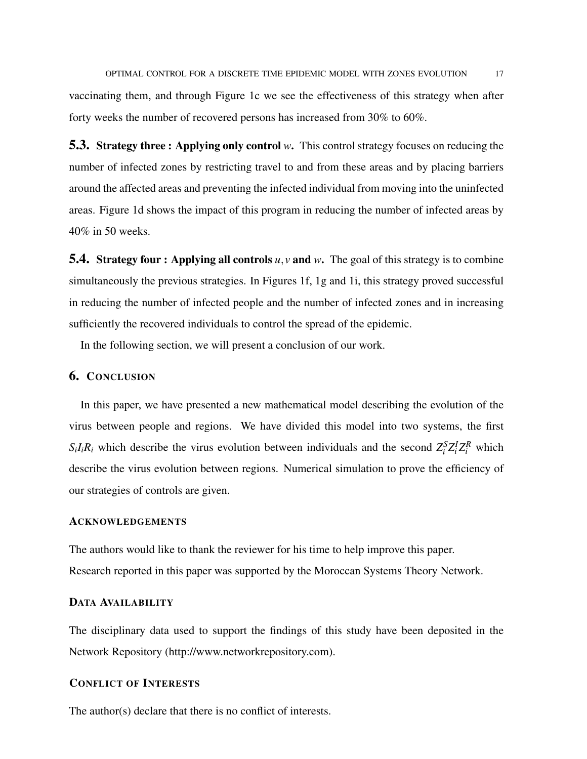vaccinating them, and through Figure [1c](#page-6-2) we see the effectiveness of this strategy when after forty weeks the number of recovered persons has increased from 30% to 60%.

5.3. Strategy three : Applying only control *w*. This control strategy focuses on reducing the number of infected zones by restricting travel to and from these areas and by placing barriers around the affected areas and preventing the infected individual from moving into the uninfected areas. Figure [1d](#page-7-0) shows the impact of this program in reducing the number of infected areas by 40% in 50 weeks.

**5.4.** Strategy four: Applying all controls *u*, *v* and *w*. The goal of this strategy is to combine simultaneously the previous strategies. In Figures [1f,](#page-7-3) [1g](#page-7-2) and [1i,](#page-15-0) this strategy proved successful in reducing the number of infected people and the number of infected zones and in increasing sufficiently the recovered individuals to control the spread of the epidemic.

In the following section, we will present a conclusion of our work.

### 6. CONCLUSION

In this paper, we have presented a new mathematical model describing the evolution of the virus between people and regions. We have divided this model into two systems, the first *S*<sub>*i*</sub>*I*<sub>*i*</sub><sup>*R*</sup><sub>*i*</sub> which describe the virus evolution between individuals and the second  $Z_i^S Z_i^I Z_i^R$  which describe the virus evolution between regions. Numerical simulation to prove the efficiency of our strategies of controls are given.

### ACKNOWLEDGEMENTS

The authors would like to thank the reviewer for his time to help improve this paper. Research reported in this paper was supported by the Moroccan Systems Theory Network.

#### DATA AVAILABILITY

The disciplinary data used to support the findings of this study have been deposited in the Network Repository (http://www.networkrepository.com).

### CONFLICT OF INTERESTS

The author(s) declare that there is no conflict of interests.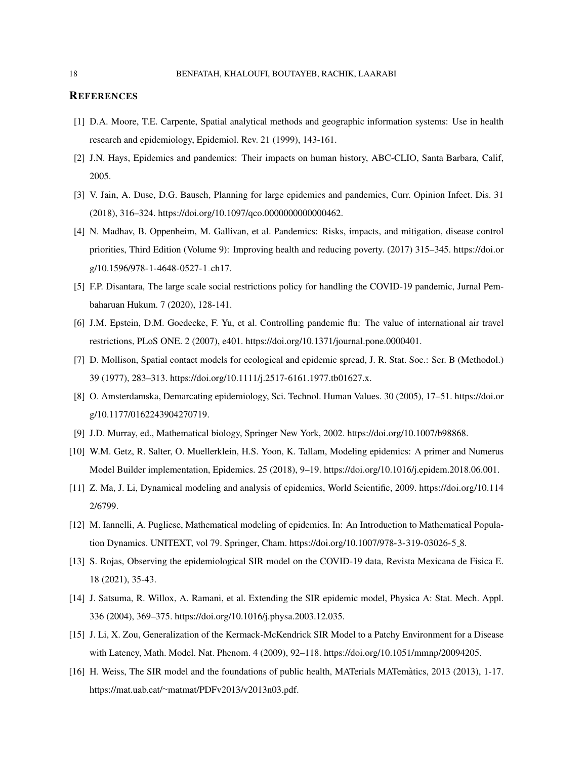#### **REFERENCES**

- <span id="page-17-0"></span>[1] D.A. Moore, T.E. Carpente, Spatial analytical methods and geographic information systems: Use in health research and epidemiology, Epidemiol. Rev. 21 (1999), 143-161.
- <span id="page-17-1"></span>[2] J.N. Hays, Epidemics and pandemics: Their impacts on human history, ABC-CLIO, Santa Barbara, Calif, 2005.
- <span id="page-17-2"></span>[3] V. Jain, A. Duse, D.G. Bausch, Planning for large epidemics and pandemics, Curr. Opinion Infect. Dis. 31 (2018), 316–324. [https://doi.org/10.1097/qco.0000000000000462.](https://doi.org/10.1097/qco.0000000000000462)
- <span id="page-17-3"></span>[4] N. Madhav, B. Oppenheim, M. Gallivan, et al. Pandemics: Risks, impacts, and mitigation, disease control priorities, Third Edition (Volume 9): Improving health and reducing poverty. (2017) 315–345. [https://doi.or](https://doi.org/10.1596/978-1-4648-0527-1_ch17) [g/10.1596/978-1-4648-0527-1](https://doi.org/10.1596/978-1-4648-0527-1_ch17) ch17.
- <span id="page-17-4"></span>[5] F.P. Disantara, The large scale social restrictions policy for handling the COVID-19 pandemic, Jurnal Pembaharuan Hukum. 7 (2020), 128-141.
- <span id="page-17-5"></span>[6] J.M. Epstein, D.M. Goedecke, F. Yu, et al. Controlling pandemic flu: The value of international air travel restrictions, PLoS ONE. 2 (2007), e401. [https://doi.org/10.1371/journal.pone.0000401.](https://doi.org/10.1371/journal.pone.0000401)
- <span id="page-17-6"></span>[7] D. Mollison, Spatial contact models for ecological and epidemic spread, J. R. Stat. Soc.: Ser. B (Methodol.) 39 (1977), 283–313. [https://doi.org/10.1111/j.2517-6161.1977.tb01627.x.](https://doi.org/10.1111/j.2517-6161.1977.tb01627.x)
- <span id="page-17-7"></span>[8] O. Amsterdamska, Demarcating epidemiology, Sci. Technol. Human Values. 30 (2005), 17–51. [https://doi.or](https://doi.org/10.1177/0162243904270719) [g/10.1177/0162243904270719.](https://doi.org/10.1177/0162243904270719)
- <span id="page-17-8"></span>[9] J.D. Murray, ed., Mathematical biology, Springer New York, 2002. [https://doi.org/10.1007/b98868.](https://doi.org/10.1007/b98868)
- <span id="page-17-9"></span>[10] W.M. Getz, R. Salter, O. Muellerklein, H.S. Yoon, K. Tallam, Modeling epidemics: A primer and Numerus Model Builder implementation, Epidemics. 25 (2018), 9–19. [https://doi.org/10.1016/j.epidem.2018.06.001.](https://doi.org/10.1016/j.epidem.2018.06.001)
- <span id="page-17-10"></span>[11] Z. Ma, J. Li, Dynamical modeling and analysis of epidemics, World Scientific, 2009. [https://doi.org/10.114](https://doi.org/10.1142/6799) [2/6799.](https://doi.org/10.1142/6799)
- <span id="page-17-11"></span>[12] M. Iannelli, A. Pugliese, Mathematical modeling of epidemics. In: An Introduction to Mathematical Population Dynamics. UNITEXT, vol 79. Springer, Cham. [https://doi.org/10.1007/978-3-319-03026-5](https://doi.org/10.1007/978-3-319-03026-5_8) 8.
- <span id="page-17-12"></span>[13] S. Rojas, Observing the epidemiological SIR model on the COVID-19 data, Revista Mexicana de Fisica E. 18 (2021), 35-43.
- <span id="page-17-13"></span>[14] J. Satsuma, R. Willox, A. Ramani, et al. Extending the SIR epidemic model, Physica A: Stat. Mech. Appl. 336 (2004), 369–375. [https://doi.org/10.1016/j.physa.2003.12.035.](https://doi.org/10.1016/j.physa.2003.12.035)
- <span id="page-17-14"></span>[15] J. Li, X. Zou, Generalization of the Kermack-McKendrick SIR Model to a Patchy Environment for a Disease with Latency, Math. Model. Nat. Phenom. 4 (2009), 92–118. [https://doi.org/10.1051/mmnp/20094205.](https://doi.org/10.1051/mmnp/20094205)
- <span id="page-17-15"></span>[16] H. Weiss, The SIR model and the foundations of public health, MATerials MATematics, 2013 (2013), 1-17. ` https://mat.uab.cat/∼[matmat/PDFv2013/v2013n03.pdf.](https://mat.uab.cat/~matmat/PDFv2013/v2013n03.pdf)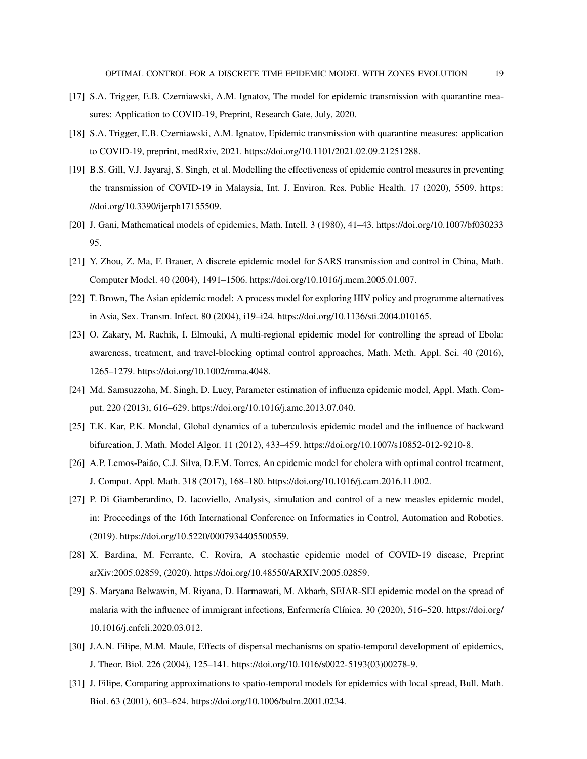- <span id="page-18-0"></span>[17] S.A. Trigger, E.B. Czerniawski, A.M. Ignatov, The model for epidemic transmission with quarantine measures: Application to COVID-19, Preprint, Research Gate, July, 2020.
- <span id="page-18-1"></span>[18] S.A. Trigger, E.B. Czerniawski, A.M. Ignatov, Epidemic transmission with quarantine measures: application to COVID-19, preprint, medRxiv, 2021. [https://doi.org/10.1101/2021.02.09.21251288.](https://doi.org/10.1101/2021.02.09.21251288)
- <span id="page-18-2"></span>[19] B.S. Gill, V.J. Jayaraj, S. Singh, et al. Modelling the effectiveness of epidemic control measures in preventing the transmission of COVID-19 in Malaysia, Int. J. Environ. Res. Public Health. 17 (2020), 5509. [https:](https://doi.org/10.3390/ijerph17155509) [//doi.org/10.3390/ijerph17155509.](https://doi.org/10.3390/ijerph17155509)
- <span id="page-18-3"></span>[20] J. Gani, Mathematical models of epidemics, Math. Intell. 3 (1980), 41–43. [https://doi.org/10.1007/bf030233](https://doi.org/10.1007/bf03023395) [95.](https://doi.org/10.1007/bf03023395)
- <span id="page-18-4"></span>[21] Y. Zhou, Z. Ma, F. Brauer, A discrete epidemic model for SARS transmission and control in China, Math. Computer Model. 40 (2004), 1491–1506. [https://doi.org/10.1016/j.mcm.2005.01.007.](https://doi.org/10.1016/j.mcm.2005.01.007)
- <span id="page-18-5"></span>[22] T. Brown, The Asian epidemic model: A process model for exploring HIV policy and programme alternatives in Asia, Sex. Transm. Infect. 80 (2004), i19–i24. [https://doi.org/10.1136/sti.2004.010165.](https://doi.org/10.1136/sti.2004.010165)
- <span id="page-18-6"></span>[23] O. Zakary, M. Rachik, I. Elmouki, A multi-regional epidemic model for controlling the spread of Ebola: awareness, treatment, and travel-blocking optimal control approaches, Math. Meth. Appl. Sci. 40 (2016), 1265–1279. [https://doi.org/10.1002/mma.4048.](https://doi.org/10.1002/mma.4048)
- <span id="page-18-7"></span>[24] Md. Samsuzzoha, M. Singh, D. Lucy, Parameter estimation of influenza epidemic model, Appl. Math. Comput. 220 (2013), 616–629. [https://doi.org/10.1016/j.amc.2013.07.040.](https://doi.org/10.1016/j.amc.2013.07.040)
- <span id="page-18-8"></span>[25] T.K. Kar, P.K. Mondal, Global dynamics of a tuberculosis epidemic model and the influence of backward bifurcation, J. Math. Model Algor. 11 (2012), 433–459. [https://doi.org/10.1007/s10852-012-9210-8.](https://doi.org/10.1007/s10852-012-9210-8)
- <span id="page-18-9"></span>[26] A.P. Lemos-Paião, C.J. Silva, D.F.M. Torres, An epidemic model for cholera with optimal control treatment, J. Comput. Appl. Math. 318 (2017), 168–180. [https://doi.org/10.1016/j.cam.2016.11.002.](https://doi.org/10.1016/j.cam.2016.11.002)
- <span id="page-18-10"></span>[27] P. Di Giamberardino, D. Iacoviello, Analysis, simulation and control of a new measles epidemic model, in: Proceedings of the 16th International Conference on Informatics in Control, Automation and Robotics. (2019). [https://doi.org/10.5220/0007934405500559.](https://doi.org/10.5220/0007934405500559)
- <span id="page-18-11"></span>[28] X. Bardina, M. Ferrante, C. Rovira, A stochastic epidemic model of COVID-19 disease, Preprint arXiv:2005.02859, (2020). [https://doi.org/10.48550/ARXIV.2005.02859.](https://doi.org/10.48550/ARXIV.2005.02859)
- <span id="page-18-12"></span>[29] S. Maryana Belwawin, M. Riyana, D. Harmawati, M. Akbarb, SEIAR-SEI epidemic model on the spread of malaria with the influence of immigrant infections, Enfermería Clínica. 30 (2020), 516–520. [https://doi.org/](https://doi.org/10.1016/j.enfcli.2020.03.012) [10.1016/j.enfcli.2020.03.012.](https://doi.org/10.1016/j.enfcli.2020.03.012)
- <span id="page-18-13"></span>[30] J.A.N. Filipe, M.M. Maule, Effects of dispersal mechanisms on spatio-temporal development of epidemics, J. Theor. Biol. 226 (2004), 125–141. [https://doi.org/10.1016/s0022-5193\(03\)00278-9.](https://doi.org/10.1016/s0022-5193(03)00278-9)
- <span id="page-18-14"></span>[31] J. Filipe, Comparing approximations to spatio-temporal models for epidemics with local spread, Bull. Math. Biol. 63 (2001), 603–624. [https://doi.org/10.1006/bulm.2001.0234.](https://doi.org/10.1006/bulm.2001.0234)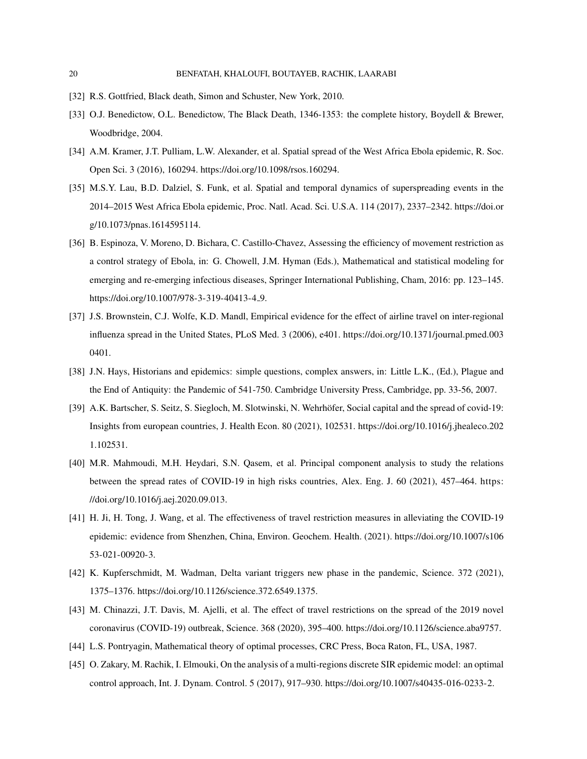- <span id="page-19-1"></span><span id="page-19-0"></span>[32] R.S. Gottfried, Black death, Simon and Schuster, New York, 2010.
- [33] O.J. Benedictow, O.L. Benedictow, The Black Death, 1346-1353: the complete history, Boydell & Brewer, Woodbridge, 2004.
- <span id="page-19-2"></span>[34] A.M. Kramer, J.T. Pulliam, L.W. Alexander, et al. Spatial spread of the West Africa Ebola epidemic, R. Soc. Open Sci. 3 (2016), 160294. [https://doi.org/10.1098/rsos.160294.](https://doi.org/10.1098/rsos.160294)
- <span id="page-19-3"></span>[35] M.S.Y. Lau, B.D. Dalziel, S. Funk, et al. Spatial and temporal dynamics of superspreading events in the 2014–2015 West Africa Ebola epidemic, Proc. Natl. Acad. Sci. U.S.A. 114 (2017), 2337–2342. [https://doi.or](https://doi.org/10.1073/pnas.1614595114) [g/10.1073/pnas.1614595114.](https://doi.org/10.1073/pnas.1614595114)
- <span id="page-19-4"></span>[36] B. Espinoza, V. Moreno, D. Bichara, C. Castillo-Chavez, Assessing the efficiency of movement restriction as a control strategy of Ebola, in: G. Chowell, J.M. Hyman (Eds.), Mathematical and statistical modeling for emerging and re-emerging infectious diseases, Springer International Publishing, Cham, 2016: pp. 123–145. [https://doi.org/10.1007/978-3-319-40413-4](https://doi.org/10.1007/978-3-319-40413-4_9) 9.
- <span id="page-19-5"></span>[37] J.S. Brownstein, C.J. Wolfe, K.D. Mandl, Empirical evidence for the effect of airline travel on inter-regional influenza spread in the United States, PLoS Med. 3 (2006), e401. [https://doi.org/10.1371/journal.pmed.003](https://doi.org/10.1371/journal.pmed.0030401) [0401.](https://doi.org/10.1371/journal.pmed.0030401)
- <span id="page-19-6"></span>[38] J.N. Hays, Historians and epidemics: simple questions, complex answers, in: Little L.K., (Ed.), Plague and the End of Antiquity: the Pandemic of 541-750. Cambridge University Press, Cambridge, pp. 33-56, 2007.
- <span id="page-19-7"></span>[39] A.K. Bartscher, S. Seitz, S. Siegloch, M. Slotwinski, N. Wehrhöfer, Social capital and the spread of covid-19: Insights from european countries, J. Health Econ. 80 (2021), 102531. [https://doi.org/10.1016/j.jhealeco.202](https://doi.org/10.1016/j.jhealeco.2021.102531) [1.102531.](https://doi.org/10.1016/j.jhealeco.2021.102531)
- <span id="page-19-8"></span>[40] M.R. Mahmoudi, M.H. Heydari, S.N. Qasem, et al. Principal component analysis to study the relations between the spread rates of COVID-19 in high risks countries, Alex. Eng. J. 60 (2021), 457–464. [https:](https://doi.org/10.1016/j.aej.2020.09.013) [//doi.org/10.1016/j.aej.2020.09.013.](https://doi.org/10.1016/j.aej.2020.09.013)
- <span id="page-19-9"></span>[41] H. Ji, H. Tong, J. Wang, et al. The effectiveness of travel restriction measures in alleviating the COVID-19 epidemic: evidence from Shenzhen, China, Environ. Geochem. Health. (2021). [https://doi.org/10.1007/s106](https://doi.org/10.1007/s10653-021-00920-3) [53-021-00920-3.](https://doi.org/10.1007/s10653-021-00920-3)
- <span id="page-19-10"></span>[42] K. Kupferschmidt, M. Wadman, Delta variant triggers new phase in the pandemic, Science. 372 (2021), 1375–1376. [https://doi.org/10.1126/science.372.6549.1375.](https://doi.org/10.1126/science.372.6549.1375)
- <span id="page-19-11"></span>[43] M. Chinazzi, J.T. Davis, M. Ajelli, et al. The effect of travel restrictions on the spread of the 2019 novel coronavirus (COVID-19) outbreak, Science. 368 (2020), 395–400. [https://doi.org/10.1126/science.aba9757.](https://doi.org/10.1126/science.aba9757)
- <span id="page-19-13"></span><span id="page-19-12"></span>[44] L.S. Pontryagin, Mathematical theory of optimal processes, CRC Press, Boca Raton, FL, USA, 1987.
- [45] O. Zakary, M. Rachik, I. Elmouki, On the analysis of a multi-regions discrete SIR epidemic model: an optimal control approach, Int. J. Dynam. Control. 5 (2017), 917–930. [https://doi.org/10.1007/s40435-016-0233-2.](https://doi.org/10.1007/s40435-016-0233-2)